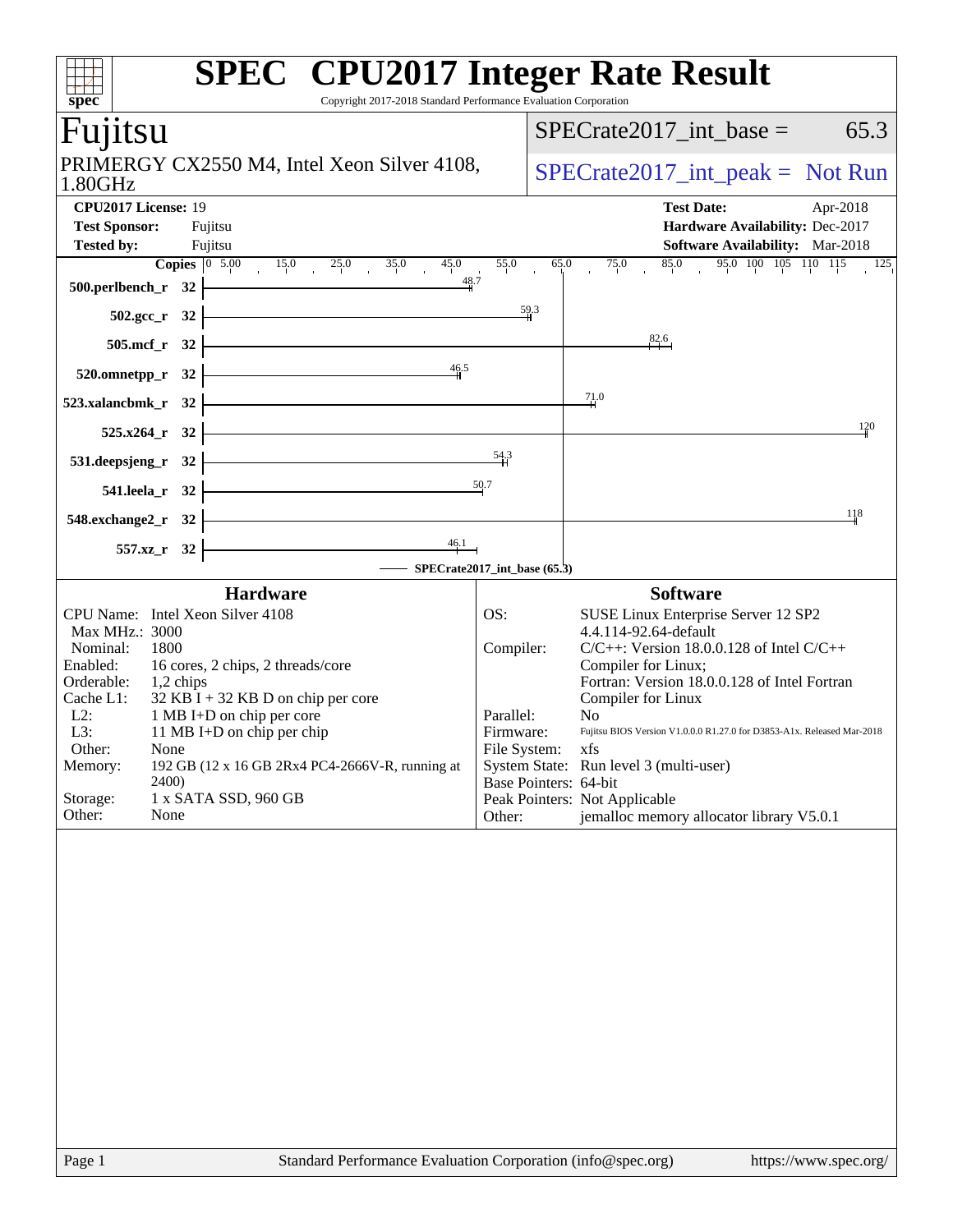| Copyright 2017-2018 Standard Performance Evaluation Corporation<br>spec <sup>®</sup>                                                                                                                          | <b>SPEC<sup>®</sup></b> CPU2017 Integer Rate Result                                                   |
|---------------------------------------------------------------------------------------------------------------------------------------------------------------------------------------------------------------|-------------------------------------------------------------------------------------------------------|
| Fujitsu                                                                                                                                                                                                       | $SPECrate2017$ _int_base =<br>65.3                                                                    |
| PRIMERGY CX2550 M4, Intel Xeon Silver 4108,<br>1.80GHz                                                                                                                                                        | $SPECrate2017\_int\_peak = Not Run$                                                                   |
| CPU2017 License: 19                                                                                                                                                                                           | <b>Test Date:</b><br>Apr-2018                                                                         |
| <b>Test Sponsor:</b><br>Fujitsu                                                                                                                                                                               | Hardware Availability: Dec-2017                                                                       |
| <b>Tested by:</b><br>Fujitsu                                                                                                                                                                                  | Software Availability: Mar-2018                                                                       |
| <b>Copies</b> $\begin{array}{ccc} 0 & 5.00 & 15.0 & 25.0 & 35.0 & 45.0 \\ 0 & 0 & 15.0 & 25.0 & 35.0 & 45.0 \\ 0 & 0 & 0 & 0 & 0 & 0 \end{array}$<br>48.7<br>$500.$ perlbench_r $32$ $\overline{\phantom{a}}$ | 95.0 100 105 110 115 125<br>85.0<br>55.0<br>65.0<br>75.0                                              |
| $502.\text{sec}_r$ 32                                                                                                                                                                                         | $\frac{59.3}{4}$                                                                                      |
| $505.\text{mcf}_r$ 32                                                                                                                                                                                         | 82.6                                                                                                  |
| $520.0$ mnetpp_r $32$ $\overline{\phantom{1}}$<br>$\frac{46.5}{4}$                                                                                                                                            |                                                                                                       |
| $523.xalancbmk_r$ $32$                                                                                                                                                                                        | 71.0                                                                                                  |
| $525.x264_r$ 32                                                                                                                                                                                               | 120                                                                                                   |
| 531.deepsjeng_r 32 $\overline{\qquad \qquad }$ 54.3                                                                                                                                                           |                                                                                                       |
| 541.leela_r 32 $\frac{50.7}{ }$                                                                                                                                                                               |                                                                                                       |
| $548$ .exchange2_r $32$ $\overline{\phantom{a}}$                                                                                                                                                              | 118                                                                                                   |
| $\frac{46.1}{1}$<br>$557.xz$ $\binom{32}{ }$                                                                                                                                                                  | SPECrate2017_int_base (65.3)                                                                          |
| <b>Hardware</b>                                                                                                                                                                                               | <b>Software</b>                                                                                       |
| CPU Name: Intel Xeon Silver 4108                                                                                                                                                                              | OS:<br>SUSE Linux Enterprise Server 12 SP2                                                            |
| Max MHz.: 3000                                                                                                                                                                                                | 4.4.114-92.64-default                                                                                 |
| Nominal:<br>1800                                                                                                                                                                                              | $C/C++$ : Version 18.0.0.128 of Intel $C/C++$<br>Compiler:<br>Compiler for Linux;                     |
| Enabled:<br>16 cores, 2 chips, 2 threads/core<br>Orderable:<br>$1,2$ chips                                                                                                                                    | Fortran: Version 18.0.0.128 of Intel Fortran                                                          |
| $32$ KB I + 32 KB D on chip per core<br>Cache L1:                                                                                                                                                             | Compiler for Linux                                                                                    |
| $L2$ :<br>1 MB I+D on chip per core                                                                                                                                                                           | Parallel:<br>N <sub>0</sub><br>Fujitsu BIOS Version V1.0.0.0 R1.27.0 for D3853-A1x. Released Mar-2018 |
| L3:<br>11 MB I+D on chip per chip<br>Other:<br>None                                                                                                                                                           | Firmware:<br>File System:<br>xfs                                                                      |
| Memory:<br>192 GB (12 x 16 GB 2Rx4 PC4-2666V-R, running at                                                                                                                                                    | System State: Run level 3 (multi-user)                                                                |
| <b>2400</b><br>1 x SATA SSD, 960 GB<br>Storage:                                                                                                                                                               | Base Pointers: 64-bit<br>Peak Pointers: Not Applicable                                                |
| Other:<br>None                                                                                                                                                                                                | jemalloc memory allocator library V5.0.1<br>Other:                                                    |
|                                                                                                                                                                                                               |                                                                                                       |
| Page 1                                                                                                                                                                                                        | Standard Performance Evaluation Corporation (info@spec.org)<br>https://www.spec.org/                  |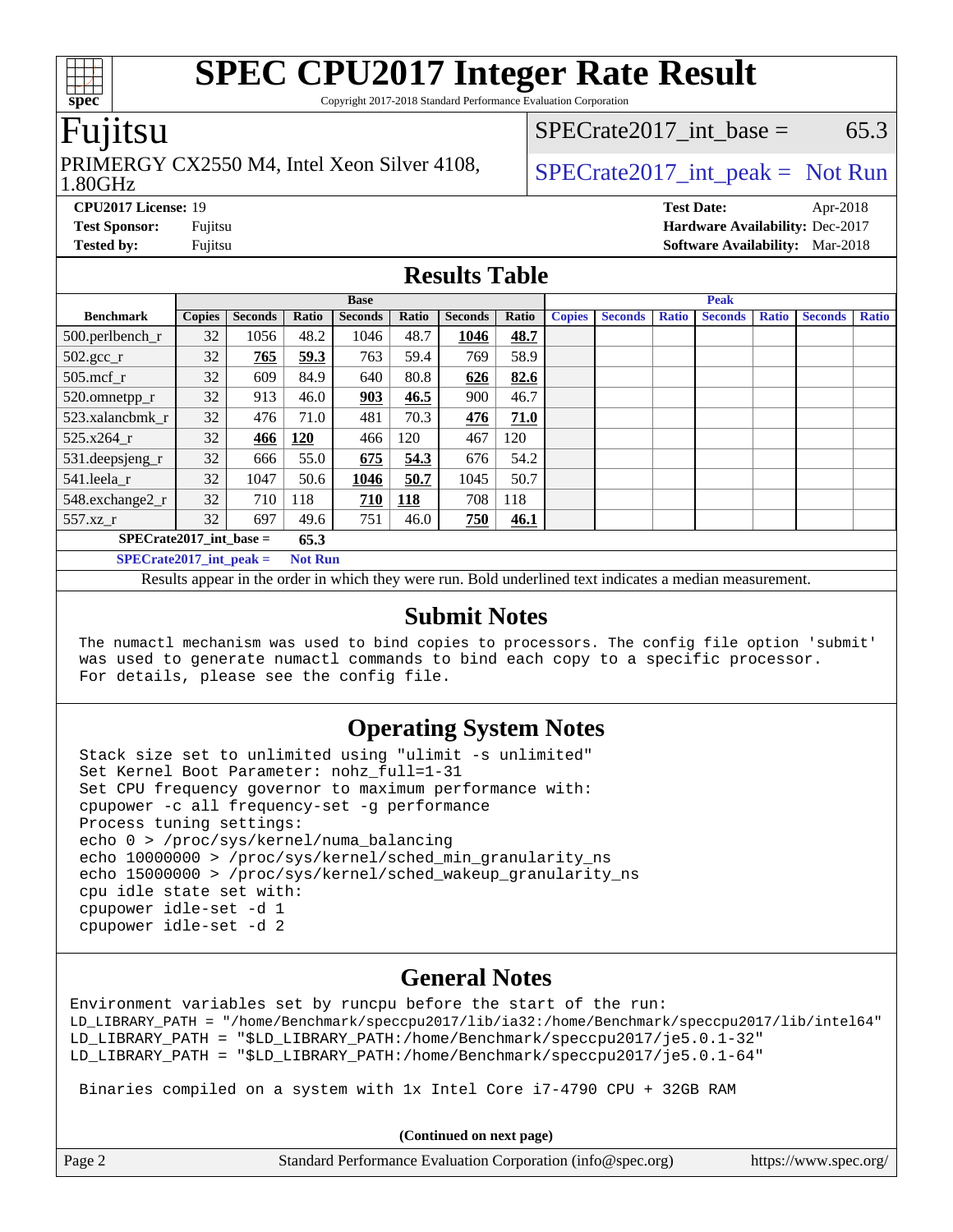Copyright 2017-2018 Standard Performance Evaluation Corporation

## Fujitsu

#### 1.80GHz PRIMERGY CX2550 M4, Intel Xeon Silver 4108,  $\big|$  SPECrate 2017 int peak = Not Run

 $SPECTate2017\_int\_base = 65.3$ 

**[CPU2017 License:](http://www.spec.org/auto/cpu2017/Docs/result-fields.html#CPU2017License)** 19 **[Test Date:](http://www.spec.org/auto/cpu2017/Docs/result-fields.html#TestDate)** Apr-2018 **[Test Sponsor:](http://www.spec.org/auto/cpu2017/Docs/result-fields.html#TestSponsor)** Fujitsu **[Hardware Availability:](http://www.spec.org/auto/cpu2017/Docs/result-fields.html#HardwareAvailability)** Dec-2017 **[Tested by:](http://www.spec.org/auto/cpu2017/Docs/result-fields.html#Testedby)** Fujitsu **[Software Availability:](http://www.spec.org/auto/cpu2017/Docs/result-fields.html#SoftwareAvailability)** Mar-2018

### **[Results Table](http://www.spec.org/auto/cpu2017/Docs/result-fields.html#ResultsTable)**

|                                             | <b>Base</b>   |                |       |                |            | <b>Peak</b>    |       |               |                |              |                |              |                |              |
|---------------------------------------------|---------------|----------------|-------|----------------|------------|----------------|-------|---------------|----------------|--------------|----------------|--------------|----------------|--------------|
| <b>Benchmark</b>                            | <b>Copies</b> | <b>Seconds</b> | Ratio | <b>Seconds</b> | Ratio      | <b>Seconds</b> | Ratio | <b>Copies</b> | <b>Seconds</b> | <b>Ratio</b> | <b>Seconds</b> | <b>Ratio</b> | <b>Seconds</b> | <b>Ratio</b> |
| $500.$ perlbench_r                          | 32            | 1056           | 48.2  | 1046           | 48.7       | 1046           | 48.7  |               |                |              |                |              |                |              |
| $502.\text{sec}$                            | 32            | 765            | 59.3  | 763            | 59.4       | 769            | 58.9  |               |                |              |                |              |                |              |
| $505$ .mcf r                                | 32            | 609            | 84.9  | 640            | 80.8       | 626            | 82.6  |               |                |              |                |              |                |              |
| 520.omnetpp_r                               | 32            | 913            | 46.0  | 903            | 46.5       | 900            | 46.7  |               |                |              |                |              |                |              |
| 523.xalancbmk r                             | 32            | 476            | 71.0  | 481            | 70.3       | 476            | 71.0  |               |                |              |                |              |                |              |
| 525.x264 r                                  | 32            | 466            | 120   | 466            | 120        | 467            | 120   |               |                |              |                |              |                |              |
| $531.$ deepsjeng $_r$                       | 32            | 666            | 55.0  | 675            | 54.3       | 676            | 54.2  |               |                |              |                |              |                |              |
| 541.leela r                                 | 32            | 1047           | 50.6  | 1046           | 50.7       | 1045           | 50.7  |               |                |              |                |              |                |              |
| 548.exchange2_r                             | 32            | 710            | 118   | 710            | <b>118</b> | 708            | 118   |               |                |              |                |              |                |              |
| 557.xz r                                    | 32            | 697            | 49.6  | 751            | 46.0       | 750            | 46.1  |               |                |              |                |              |                |              |
| $SPECrate2017$ _int_base =<br>65.3          |               |                |       |                |            |                |       |               |                |              |                |              |                |              |
| $SPECrate2017$ int peak =<br><b>Not Run</b> |               |                |       |                |            |                |       |               |                |              |                |              |                |              |

Results appear in the [order in which they were run.](http://www.spec.org/auto/cpu2017/Docs/result-fields.html#RunOrder) Bold underlined text [indicates a median measurement.](http://www.spec.org/auto/cpu2017/Docs/result-fields.html#Median)

#### **[Submit Notes](http://www.spec.org/auto/cpu2017/Docs/result-fields.html#SubmitNotes)**

 The numactl mechanism was used to bind copies to processors. The config file option 'submit' was used to generate numactl commands to bind each copy to a specific processor. For details, please see the config file.

### **[Operating System Notes](http://www.spec.org/auto/cpu2017/Docs/result-fields.html#OperatingSystemNotes)**

 Stack size set to unlimited using "ulimit -s unlimited" Set Kernel Boot Parameter: nohz\_full=1-31 Set CPU frequency governor to maximum performance with: cpupower -c all frequency-set -g performance Process tuning settings: echo 0 > /proc/sys/kernel/numa\_balancing echo 10000000 > /proc/sys/kernel/sched\_min\_granularity\_ns echo 15000000 > /proc/sys/kernel/sched\_wakeup\_granularity\_ns cpu idle state set with: cpupower idle-set -d 1 cpupower idle-set -d 2

### **[General Notes](http://www.spec.org/auto/cpu2017/Docs/result-fields.html#GeneralNotes)**

Environment variables set by runcpu before the start of the run: LD\_LIBRARY\_PATH = "/home/Benchmark/speccpu2017/lib/ia32:/home/Benchmark/speccpu2017/lib/intel64" LD\_LIBRARY\_PATH = "\$LD\_LIBRARY\_PATH:/home/Benchmark/speccpu2017/je5.0.1-32" LD\_LIBRARY\_PATH = "\$LD\_LIBRARY\_PATH:/home/Benchmark/speccpu2017/je5.0.1-64"

Binaries compiled on a system with 1x Intel Core i7-4790 CPU + 32GB RAM

**(Continued on next page)**

| (Continued on next page) |                                                             |                       |  |  |  |
|--------------------------|-------------------------------------------------------------|-----------------------|--|--|--|
| Page 2                   | Standard Performance Evaluation Corporation (info@spec.org) | https://www.spec.org/ |  |  |  |

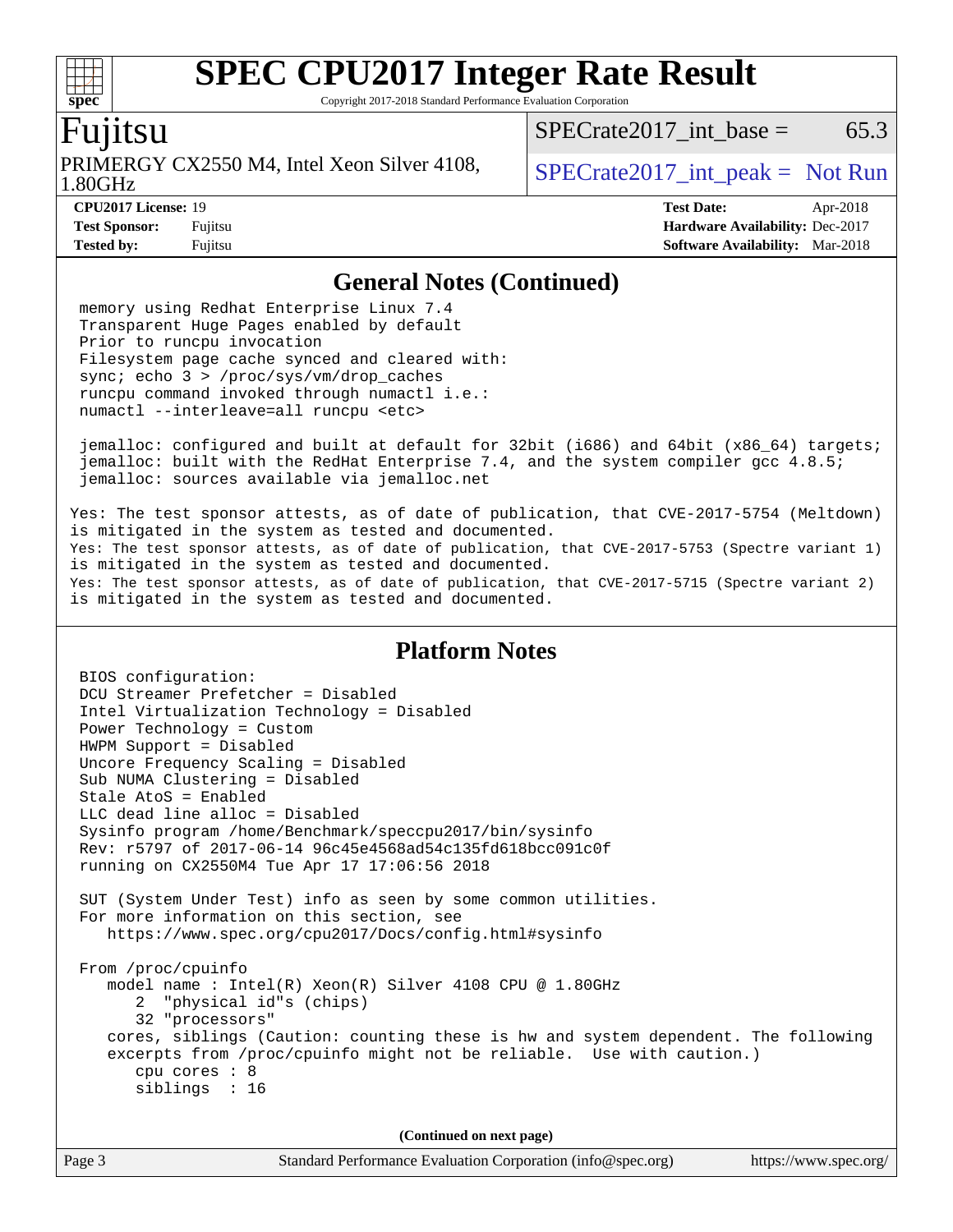Copyright 2017-2018 Standard Performance Evaluation Corporation

## Fujitsu

**[spec](http://www.spec.org/)**

 $+\ +$ 

1.80GHz PRIMERGY CX2550 M4, Intel Xeon Silver 4108,  $\big|$  SPECrate 2017 int peak = Not Run

 $SPECTate2017\_int\_base = 65.3$ 

**[Tested by:](http://www.spec.org/auto/cpu2017/Docs/result-fields.html#Testedby)** Fujitsu **[Software Availability:](http://www.spec.org/auto/cpu2017/Docs/result-fields.html#SoftwareAvailability)** Mar-2018

**[CPU2017 License:](http://www.spec.org/auto/cpu2017/Docs/result-fields.html#CPU2017License)** 19 **[Test Date:](http://www.spec.org/auto/cpu2017/Docs/result-fields.html#TestDate)** Apr-2018 **[Test Sponsor:](http://www.spec.org/auto/cpu2017/Docs/result-fields.html#TestSponsor)** Fujitsu **[Hardware Availability:](http://www.spec.org/auto/cpu2017/Docs/result-fields.html#HardwareAvailability)** Dec-2017

#### **[General Notes \(Continued\)](http://www.spec.org/auto/cpu2017/Docs/result-fields.html#GeneralNotes)**

 memory using Redhat Enterprise Linux 7.4 Transparent Huge Pages enabled by default Prior to runcpu invocation Filesystem page cache synced and cleared with: sync; echo 3 > /proc/sys/vm/drop\_caches runcpu command invoked through numactl i.e.: numactl --interleave=all runcpu <etc>

 jemalloc: configured and built at default for 32bit (i686) and 64bit (x86\_64) targets; jemalloc: built with the RedHat Enterprise 7.4, and the system compiler gcc 4.8.5; jemalloc: sources available via jemalloc.net

Yes: The test sponsor attests, as of date of publication, that CVE-2017-5754 (Meltdown) is mitigated in the system as tested and documented. Yes: The test sponsor attests, as of date of publication, that CVE-2017-5753 (Spectre variant 1) is mitigated in the system as tested and documented. Yes: The test sponsor attests, as of date of publication, that CVE-2017-5715 (Spectre variant 2) is mitigated in the system as tested and documented.

### **[Platform Notes](http://www.spec.org/auto/cpu2017/Docs/result-fields.html#PlatformNotes)**

 BIOS configuration: DCU Streamer Prefetcher = Disabled Intel Virtualization Technology = Disabled Power Technology = Custom HWPM Support = Disabled Uncore Frequency Scaling = Disabled Sub NUMA Clustering = Disabled Stale AtoS = Enabled LLC dead line alloc = Disabled Sysinfo program /home/Benchmark/speccpu2017/bin/sysinfo Rev: r5797 of 2017-06-14 96c45e4568ad54c135fd618bcc091c0f running on CX2550M4 Tue Apr 17 17:06:56 2018 SUT (System Under Test) info as seen by some common utilities. For more information on this section, see <https://www.spec.org/cpu2017/Docs/config.html#sysinfo> From /proc/cpuinfo model name : Intel(R) Xeon(R) Silver 4108 CPU @ 1.80GHz 2 "physical id"s (chips) 32 "processors" cores, siblings (Caution: counting these is hw and system dependent. The following excerpts from /proc/cpuinfo might not be reliable. Use with caution.) cpu cores : 8 siblings : 16 **(Continued on next page)**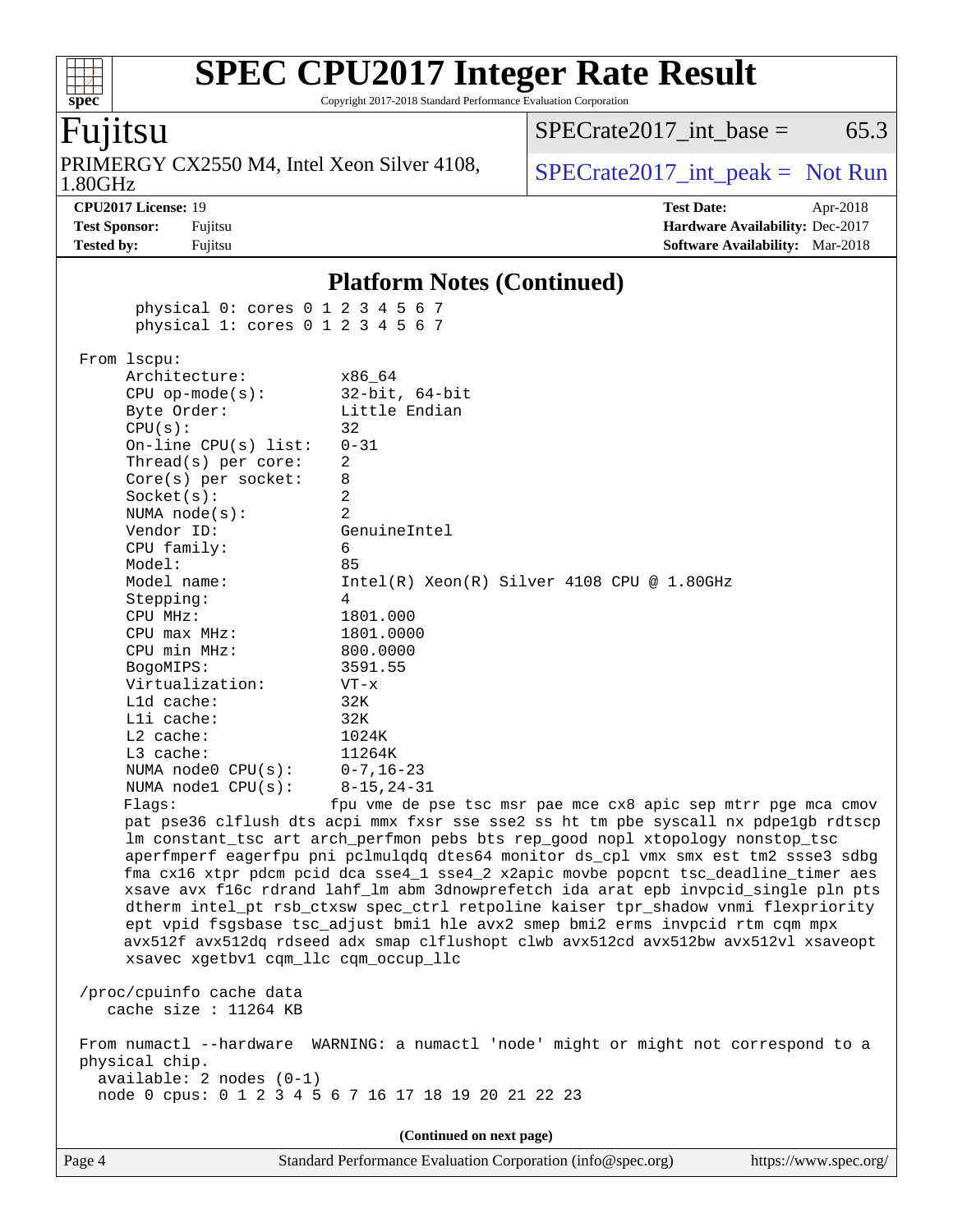Copyright 2017-2018 Standard Performance Evaluation Corporation

## Fujitsu

**[spec](http://www.spec.org/)**

 $+\ +$ 

1.80GHz PRIMERGY CX2550 M4, Intel Xeon Silver 4108,  $\big|$  SPECrate 2017 int peak = Not Run

 $SPECTate2017\_int\_base = 65.3$ 

**[CPU2017 License:](http://www.spec.org/auto/cpu2017/Docs/result-fields.html#CPU2017License)** 19 **[Test Date:](http://www.spec.org/auto/cpu2017/Docs/result-fields.html#TestDate)** Apr-2018 **[Test Sponsor:](http://www.spec.org/auto/cpu2017/Docs/result-fields.html#TestSponsor)** Fujitsu **[Hardware Availability:](http://www.spec.org/auto/cpu2017/Docs/result-fields.html#HardwareAvailability)** Dec-2017 **[Tested by:](http://www.spec.org/auto/cpu2017/Docs/result-fields.html#Testedby)** Fujitsu **[Software Availability:](http://www.spec.org/auto/cpu2017/Docs/result-fields.html#SoftwareAvailability)** Mar-2018

#### **[Platform Notes \(Continued\)](http://www.spec.org/auto/cpu2017/Docs/result-fields.html#PlatformNotes)**

 physical 0: cores 0 1 2 3 4 5 6 7 physical 1: cores 0 1 2 3 4 5 6 7

 From lscpu: Architecture: x86\_64 CPU op-mode(s): 32-bit, 64-bit Byte Order: Little Endian  $CPU(s):$  32 On-line CPU(s) list: 0-31 Thread(s) per core: 2 Core(s) per socket: 8 Socket(s): 2 NUMA node(s): 2 Vendor ID: GenuineIntel CPU family: 6 Model: 85 Model name:  $Intel(R)$  Xeon(R) Silver 4108 CPU @ 1.80GHz Stepping: 4 CPU MHz: 1801.000 CPU max MHz: 1801.0000 CPU min MHz: 800.0000 BogoMIPS: 3591.55 Virtualization: VT-x L1d cache: 32K L1i cache: 32K L2 cache: 1024K L3 cache: 11264K NUMA node0 CPU(s): 0-7,16-23 NUMA node1 CPU(s): 8-15,24-31 Flags: fpu vme de pse tsc msr pae mce cx8 apic sep mtrr pge mca cmov pat pse36 clflush dts acpi mmx fxsr sse sse2 ss ht tm pbe syscall nx pdpe1gb rdtscp lm constant\_tsc art arch\_perfmon pebs bts rep\_good nopl xtopology nonstop\_tsc aperfmperf eagerfpu pni pclmulqdq dtes64 monitor ds\_cpl vmx smx est tm2 ssse3 sdbg fma cx16 xtpr pdcm pcid dca sse4\_1 sse4\_2 x2apic movbe popcnt tsc\_deadline\_timer aes xsave avx f16c rdrand lahf\_lm abm 3dnowprefetch ida arat epb invpcid\_single pln pts dtherm intel\_pt rsb\_ctxsw spec\_ctrl retpoline kaiser tpr\_shadow vnmi flexpriority ept vpid fsgsbase tsc\_adjust bmi1 hle avx2 smep bmi2 erms invpcid rtm cqm mpx avx512f avx512dq rdseed adx smap clflushopt clwb avx512cd avx512bw avx512vl xsaveopt xsavec xgetbv1 cqm\_llc cqm\_occup\_llc /proc/cpuinfo cache data cache size : 11264 KB

 From numactl --hardware WARNING: a numactl 'node' might or might not correspond to a physical chip. available: 2 nodes (0-1)

node 0 cpus: 0 1 2 3 4 5 6 7 16 17 18 19 20 21 22 23

**(Continued on next page)**

Page 4 Standard Performance Evaluation Corporation [\(info@spec.org\)](mailto:info@spec.org) <https://www.spec.org/>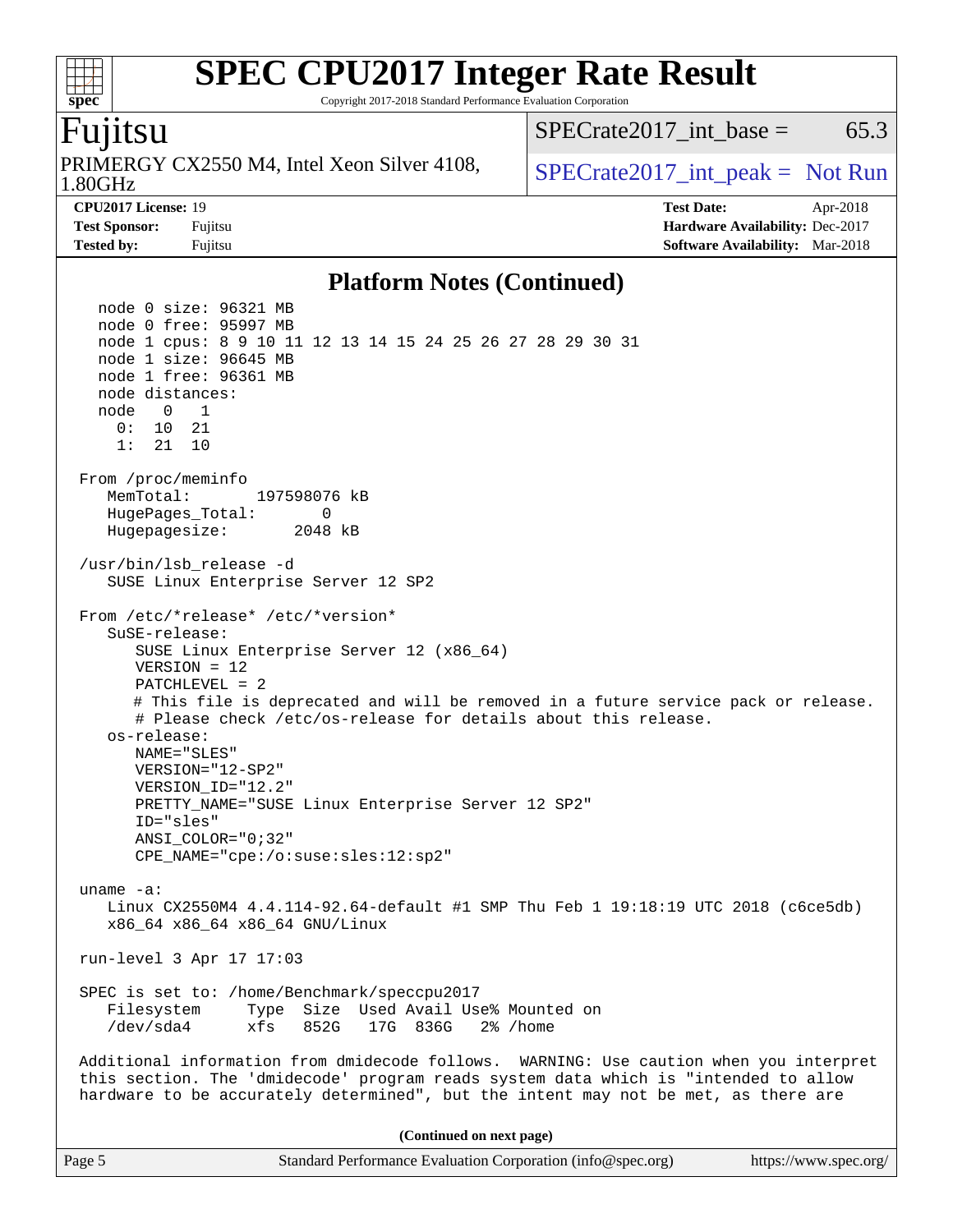Copyright 2017-2018 Standard Performance Evaluation Corporation

## Fujitsu

**[spec](http://www.spec.org/)**

1.80GHz PRIMERGY CX2550 M4, Intel Xeon Silver 4108,  $\big|$  SPECrate 2017 int peak = Not Run

 $SPECTate2017\_int\_base = 65.3$ 

**[CPU2017 License:](http://www.spec.org/auto/cpu2017/Docs/result-fields.html#CPU2017License)** 19 **[Test Date:](http://www.spec.org/auto/cpu2017/Docs/result-fields.html#TestDate)** Apr-2018 **[Test Sponsor:](http://www.spec.org/auto/cpu2017/Docs/result-fields.html#TestSponsor)** Fujitsu **[Hardware Availability:](http://www.spec.org/auto/cpu2017/Docs/result-fields.html#HardwareAvailability)** Dec-2017 **[Tested by:](http://www.spec.org/auto/cpu2017/Docs/result-fields.html#Testedby)** Fujitsu **[Software Availability:](http://www.spec.org/auto/cpu2017/Docs/result-fields.html#SoftwareAvailability)** Mar-2018

#### **[Platform Notes \(Continued\)](http://www.spec.org/auto/cpu2017/Docs/result-fields.html#PlatformNotes)**

 node 0 size: 96321 MB node 0 free: 95997 MB node 1 cpus: 8 9 10 11 12 13 14 15 24 25 26 27 28 29 30 31 node 1 size: 96645 MB node 1 free: 96361 MB node distances: node 0 1 0: 10 21 1: 21 10 From /proc/meminfo MemTotal: 197598076 kB HugePages\_Total: 0 Hugepagesize: 2048 kB /usr/bin/lsb\_release -d SUSE Linux Enterprise Server 12 SP2 From /etc/\*release\* /etc/\*version\* SuSE-release: SUSE Linux Enterprise Server 12 (x86\_64) VERSION = 12 PATCHLEVEL = 2 # This file is deprecated and will be removed in a future service pack or release. # Please check /etc/os-release for details about this release. os-release: NAME="SLES" VERSION="12-SP2" VERSION\_ID="12.2" PRETTY\_NAME="SUSE Linux Enterprise Server 12 SP2" ID="sles" ANSI\_COLOR="0;32" CPE\_NAME="cpe:/o:suse:sles:12:sp2" uname -a: Linux CX2550M4 4.4.114-92.64-default #1 SMP Thu Feb 1 19:18:19 UTC 2018 (c6ce5db) x86\_64 x86\_64 x86\_64 GNU/Linux run-level 3 Apr 17 17:03 SPEC is set to: /home/Benchmark/speccpu2017 Filesystem Type Size Used Avail Use% Mounted on /dev/sda4 xfs 852G 17G 836G 2% /home Additional information from dmidecode follows. WARNING: Use caution when you interpret this section. The 'dmidecode' program reads system data which is "intended to allow hardware to be accurately determined", but the intent may not be met, as there are **(Continued on next page)**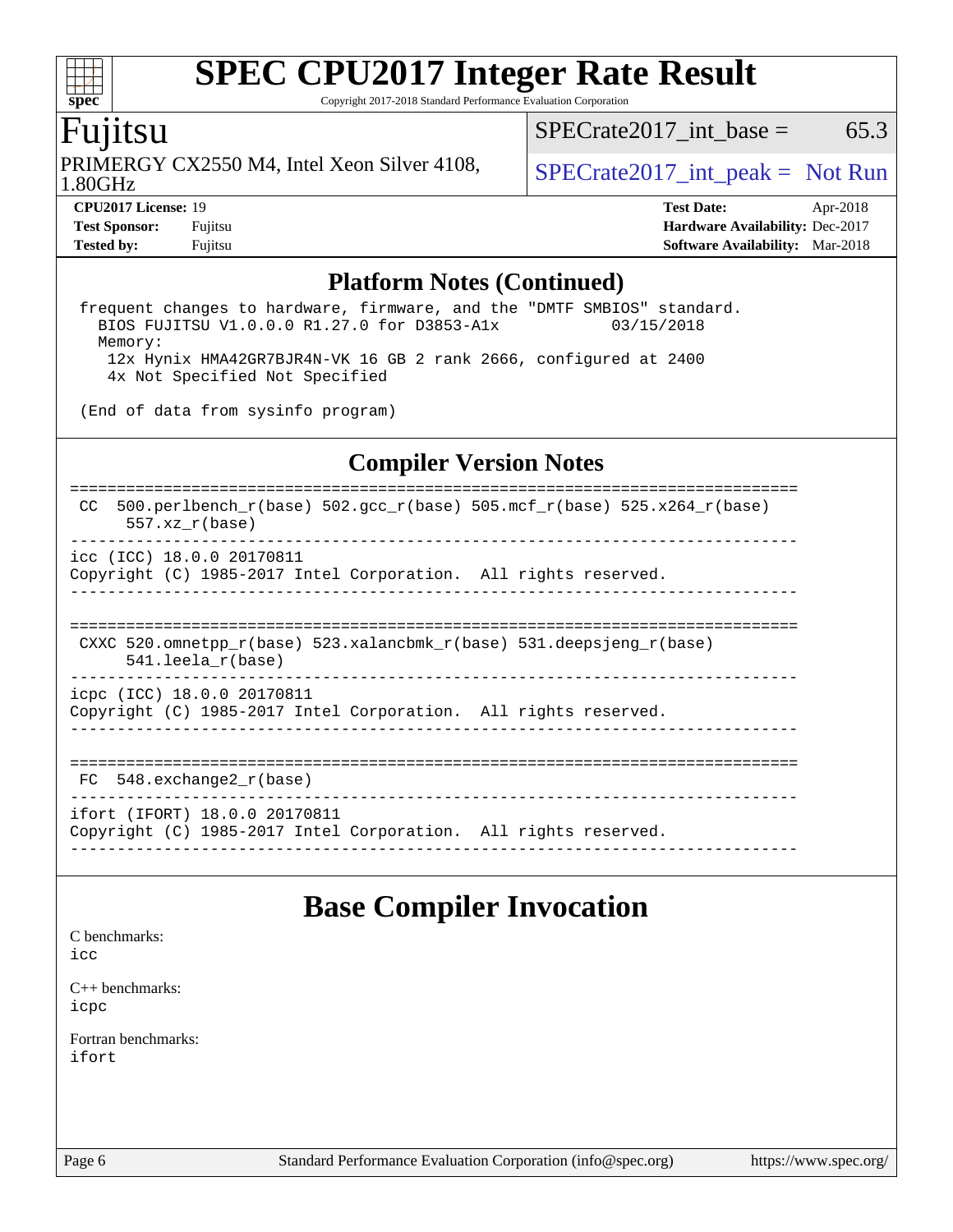Copyright 2017-2018 Standard Performance Evaluation Corporation

## Fujitsu

**[spec](http://www.spec.org/)**

 $+\ +$ 

1.80GHz PRIMERGY CX2550 M4, Intel Xeon Silver 4108,  $\big|$  SPECrate 2017 int peak = Not Run

 $SPECTate2017\_int\_base = 65.3$ 

**[Tested by:](http://www.spec.org/auto/cpu2017/Docs/result-fields.html#Testedby)** Fujitsu **[Software Availability:](http://www.spec.org/auto/cpu2017/Docs/result-fields.html#SoftwareAvailability)** Mar-2018

**[CPU2017 License:](http://www.spec.org/auto/cpu2017/Docs/result-fields.html#CPU2017License)** 19 **[Test Date:](http://www.spec.org/auto/cpu2017/Docs/result-fields.html#TestDate)** Apr-2018 **[Test Sponsor:](http://www.spec.org/auto/cpu2017/Docs/result-fields.html#TestSponsor)** Fujitsu **[Hardware Availability:](http://www.spec.org/auto/cpu2017/Docs/result-fields.html#HardwareAvailability)** Dec-2017

### **[Platform Notes \(Continued\)](http://www.spec.org/auto/cpu2017/Docs/result-fields.html#PlatformNotes)**

frequent changes to hardware, firmware, and the "DMTF SMBIOS" standard.<br>BIOS FUJITSU V1.0.0.0 R1.27.0 for D3853-A1x 03/15/2018 BIOS FUJITSU V1.0.0.0 R1.27.0 for D3853-A1x Memory: 12x Hynix HMA42GR7BJR4N-VK 16 GB 2 rank 2666, configured at 2400 4x Not Specified Not Specified

(End of data from sysinfo program)

### **[Compiler Version Notes](http://www.spec.org/auto/cpu2017/Docs/result-fields.html#CompilerVersionNotes)**

============================================================================== CC 500.perlbench\_r(base)  $502.\text{gcc\_r}$ (base)  $505.\text{mcf\_r}$ (base)  $525.\text{x}264_\text{r}$ (base) 557.xz\_r(base) ----------------------------------------------------------------------------- icc (ICC) 18.0.0 20170811 Copyright (C) 1985-2017 Intel Corporation. All rights reserved. ------------------------------------------------------------------------------ ============================================================================== CXXC 520.omnetpp\_r(base) 523.xalancbmk\_r(base) 531.deepsjeng\_r(base) 541.leela\_r(base) ----------------------------------------------------------------------------- icpc (ICC) 18.0.0 20170811 Copyright (C) 1985-2017 Intel Corporation. All rights reserved. ------------------------------------------------------------------------------ ============================================================================== FC 548.exchange2 r(base) ----------------------------------------------------------------------------- ifort (IFORT) 18.0.0 20170811 Copyright (C) 1985-2017 Intel Corporation. All rights reserved. ------------------------------------------------------------------------------

# **[Base Compiler Invocation](http://www.spec.org/auto/cpu2017/Docs/result-fields.html#BaseCompilerInvocation)**

[C benchmarks](http://www.spec.org/auto/cpu2017/Docs/result-fields.html#Cbenchmarks):

[icc](http://www.spec.org/cpu2017/results/res2018q2/cpu2017-20180515-05697.flags.html#user_CCbase_intel_icc_18.0_66fc1ee009f7361af1fbd72ca7dcefbb700085f36577c54f309893dd4ec40d12360134090235512931783d35fd58c0460139e722d5067c5574d8eaf2b3e37e92)

[C++ benchmarks:](http://www.spec.org/auto/cpu2017/Docs/result-fields.html#CXXbenchmarks) [icpc](http://www.spec.org/cpu2017/results/res2018q2/cpu2017-20180515-05697.flags.html#user_CXXbase_intel_icpc_18.0_c510b6838c7f56d33e37e94d029a35b4a7bccf4766a728ee175e80a419847e808290a9b78be685c44ab727ea267ec2f070ec5dc83b407c0218cded6866a35d07)

[Fortran benchmarks](http://www.spec.org/auto/cpu2017/Docs/result-fields.html#Fortranbenchmarks): [ifort](http://www.spec.org/cpu2017/results/res2018q2/cpu2017-20180515-05697.flags.html#user_FCbase_intel_ifort_18.0_8111460550e3ca792625aed983ce982f94888b8b503583aa7ba2b8303487b4d8a21a13e7191a45c5fd58ff318f48f9492884d4413fa793fd88dd292cad7027ca)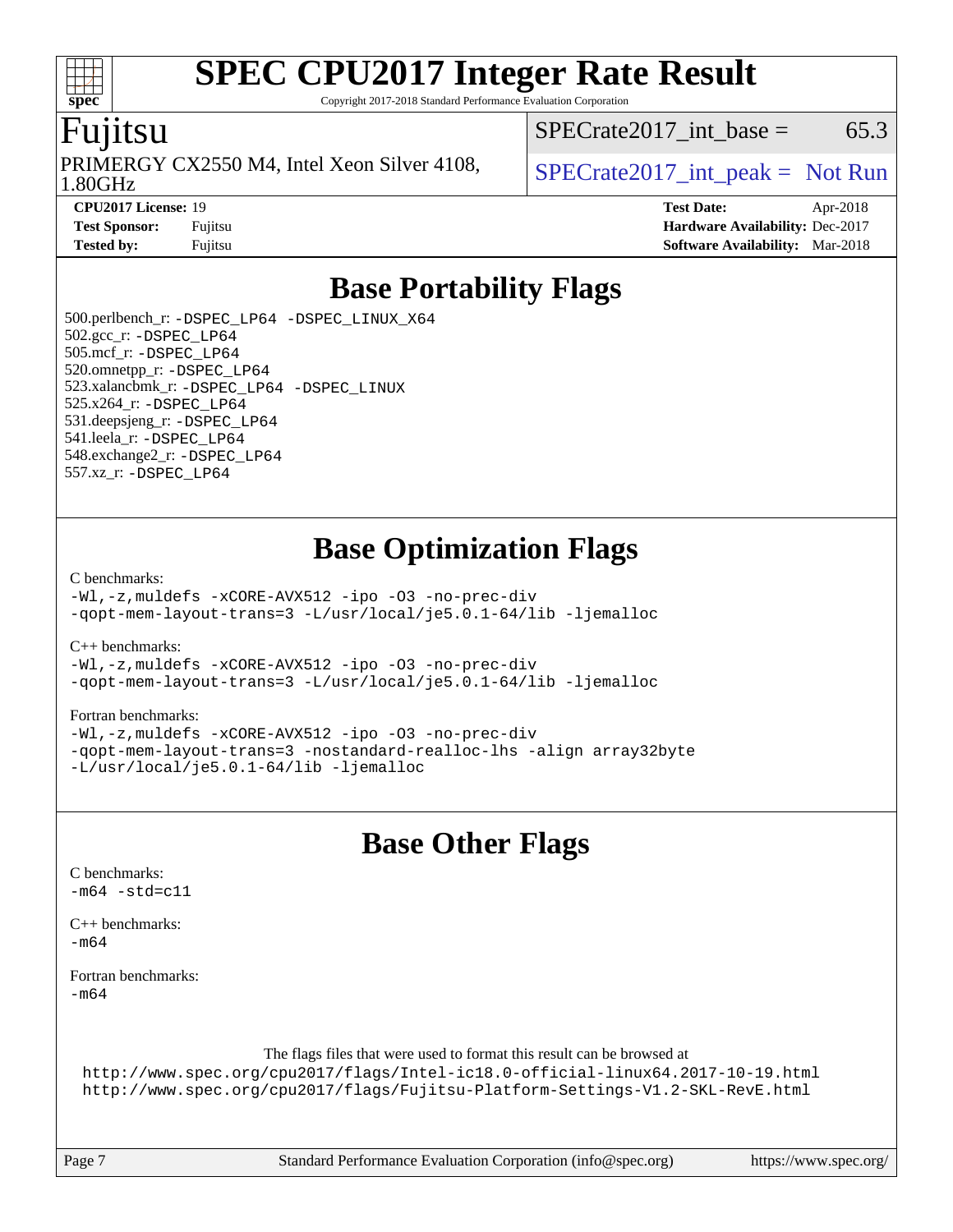Copyright 2017-2018 Standard Performance Evaluation Corporation

## Fujitsu

**[spec](http://www.spec.org/)**

 $\pm\pm$ 

1.80GHz PRIMERGY CX2550 M4, Intel Xeon Silver 4108,  $\big|$  SPECrate 2017 int peak = Not Run

 $SPECTate2017$ \_int\_base = 65.3

**[CPU2017 License:](http://www.spec.org/auto/cpu2017/Docs/result-fields.html#CPU2017License)** 19 **[Test Date:](http://www.spec.org/auto/cpu2017/Docs/result-fields.html#TestDate)** Apr-2018 **[Test Sponsor:](http://www.spec.org/auto/cpu2017/Docs/result-fields.html#TestSponsor)** Fujitsu **[Hardware Availability:](http://www.spec.org/auto/cpu2017/Docs/result-fields.html#HardwareAvailability)** Dec-2017 **[Tested by:](http://www.spec.org/auto/cpu2017/Docs/result-fields.html#Testedby)** Fujitsu **[Software Availability:](http://www.spec.org/auto/cpu2017/Docs/result-fields.html#SoftwareAvailability)** Mar-2018

# **[Base Portability Flags](http://www.spec.org/auto/cpu2017/Docs/result-fields.html#BasePortabilityFlags)**

 500.perlbench\_r: [-DSPEC\\_LP64](http://www.spec.org/cpu2017/results/res2018q2/cpu2017-20180515-05697.flags.html#b500.perlbench_r_basePORTABILITY_DSPEC_LP64) [-DSPEC\\_LINUX\\_X64](http://www.spec.org/cpu2017/results/res2018q2/cpu2017-20180515-05697.flags.html#b500.perlbench_r_baseCPORTABILITY_DSPEC_LINUX_X64) 502.gcc\_r: [-DSPEC\\_LP64](http://www.spec.org/cpu2017/results/res2018q2/cpu2017-20180515-05697.flags.html#suite_basePORTABILITY502_gcc_r_DSPEC_LP64) 505.mcf\_r: [-DSPEC\\_LP64](http://www.spec.org/cpu2017/results/res2018q2/cpu2017-20180515-05697.flags.html#suite_basePORTABILITY505_mcf_r_DSPEC_LP64) 520.omnetpp\_r: [-DSPEC\\_LP64](http://www.spec.org/cpu2017/results/res2018q2/cpu2017-20180515-05697.flags.html#suite_basePORTABILITY520_omnetpp_r_DSPEC_LP64) 523.xalancbmk\_r: [-DSPEC\\_LP64](http://www.spec.org/cpu2017/results/res2018q2/cpu2017-20180515-05697.flags.html#suite_basePORTABILITY523_xalancbmk_r_DSPEC_LP64) [-DSPEC\\_LINUX](http://www.spec.org/cpu2017/results/res2018q2/cpu2017-20180515-05697.flags.html#b523.xalancbmk_r_baseCXXPORTABILITY_DSPEC_LINUX) 525.x264\_r: [-DSPEC\\_LP64](http://www.spec.org/cpu2017/results/res2018q2/cpu2017-20180515-05697.flags.html#suite_basePORTABILITY525_x264_r_DSPEC_LP64) 531.deepsjeng\_r: [-DSPEC\\_LP64](http://www.spec.org/cpu2017/results/res2018q2/cpu2017-20180515-05697.flags.html#suite_basePORTABILITY531_deepsjeng_r_DSPEC_LP64) 541.leela\_r: [-DSPEC\\_LP64](http://www.spec.org/cpu2017/results/res2018q2/cpu2017-20180515-05697.flags.html#suite_basePORTABILITY541_leela_r_DSPEC_LP64) 548.exchange2\_r: [-DSPEC\\_LP64](http://www.spec.org/cpu2017/results/res2018q2/cpu2017-20180515-05697.flags.html#suite_basePORTABILITY548_exchange2_r_DSPEC_LP64) 557.xz\_r: [-DSPEC\\_LP64](http://www.spec.org/cpu2017/results/res2018q2/cpu2017-20180515-05697.flags.html#suite_basePORTABILITY557_xz_r_DSPEC_LP64)

# **[Base Optimization Flags](http://www.spec.org/auto/cpu2017/Docs/result-fields.html#BaseOptimizationFlags)**

#### [C benchmarks](http://www.spec.org/auto/cpu2017/Docs/result-fields.html#Cbenchmarks):

[-Wl,-z,muldefs](http://www.spec.org/cpu2017/results/res2018q2/cpu2017-20180515-05697.flags.html#user_CCbase_link_force_multiple1_b4cbdb97b34bdee9ceefcfe54f4c8ea74255f0b02a4b23e853cdb0e18eb4525ac79b5a88067c842dd0ee6996c24547a27a4b99331201badda8798ef8a743f577) [-xCORE-AVX512](http://www.spec.org/cpu2017/results/res2018q2/cpu2017-20180515-05697.flags.html#user_CCbase_f-xCORE-AVX512) [-ipo](http://www.spec.org/cpu2017/results/res2018q2/cpu2017-20180515-05697.flags.html#user_CCbase_f-ipo) [-O3](http://www.spec.org/cpu2017/results/res2018q2/cpu2017-20180515-05697.flags.html#user_CCbase_f-O3) [-no-prec-div](http://www.spec.org/cpu2017/results/res2018q2/cpu2017-20180515-05697.flags.html#user_CCbase_f-no-prec-div) [-qopt-mem-layout-trans=3](http://www.spec.org/cpu2017/results/res2018q2/cpu2017-20180515-05697.flags.html#user_CCbase_f-qopt-mem-layout-trans_de80db37974c74b1f0e20d883f0b675c88c3b01e9d123adea9b28688d64333345fb62bc4a798493513fdb68f60282f9a726aa07f478b2f7113531aecce732043) [-L/usr/local/je5.0.1-64/lib](http://www.spec.org/cpu2017/results/res2018q2/cpu2017-20180515-05697.flags.html#user_CCbase_jemalloc_link_path64_4b10a636b7bce113509b17f3bd0d6226c5fb2346b9178c2d0232c14f04ab830f976640479e5c33dc2bcbbdad86ecfb6634cbbd4418746f06f368b512fced5394) [-ljemalloc](http://www.spec.org/cpu2017/results/res2018q2/cpu2017-20180515-05697.flags.html#user_CCbase_jemalloc_link_lib_d1249b907c500fa1c0672f44f562e3d0f79738ae9e3c4a9c376d49f265a04b9c99b167ecedbf6711b3085be911c67ff61f150a17b3472be731631ba4d0471706)

[C++ benchmarks:](http://www.spec.org/auto/cpu2017/Docs/result-fields.html#CXXbenchmarks)

[-Wl,-z,muldefs](http://www.spec.org/cpu2017/results/res2018q2/cpu2017-20180515-05697.flags.html#user_CXXbase_link_force_multiple1_b4cbdb97b34bdee9ceefcfe54f4c8ea74255f0b02a4b23e853cdb0e18eb4525ac79b5a88067c842dd0ee6996c24547a27a4b99331201badda8798ef8a743f577) [-xCORE-AVX512](http://www.spec.org/cpu2017/results/res2018q2/cpu2017-20180515-05697.flags.html#user_CXXbase_f-xCORE-AVX512) [-ipo](http://www.spec.org/cpu2017/results/res2018q2/cpu2017-20180515-05697.flags.html#user_CXXbase_f-ipo) [-O3](http://www.spec.org/cpu2017/results/res2018q2/cpu2017-20180515-05697.flags.html#user_CXXbase_f-O3) [-no-prec-div](http://www.spec.org/cpu2017/results/res2018q2/cpu2017-20180515-05697.flags.html#user_CXXbase_f-no-prec-div) [-qopt-mem-layout-trans=3](http://www.spec.org/cpu2017/results/res2018q2/cpu2017-20180515-05697.flags.html#user_CXXbase_f-qopt-mem-layout-trans_de80db37974c74b1f0e20d883f0b675c88c3b01e9d123adea9b28688d64333345fb62bc4a798493513fdb68f60282f9a726aa07f478b2f7113531aecce732043) [-L/usr/local/je5.0.1-64/lib](http://www.spec.org/cpu2017/results/res2018q2/cpu2017-20180515-05697.flags.html#user_CXXbase_jemalloc_link_path64_4b10a636b7bce113509b17f3bd0d6226c5fb2346b9178c2d0232c14f04ab830f976640479e5c33dc2bcbbdad86ecfb6634cbbd4418746f06f368b512fced5394) [-ljemalloc](http://www.spec.org/cpu2017/results/res2018q2/cpu2017-20180515-05697.flags.html#user_CXXbase_jemalloc_link_lib_d1249b907c500fa1c0672f44f562e3d0f79738ae9e3c4a9c376d49f265a04b9c99b167ecedbf6711b3085be911c67ff61f150a17b3472be731631ba4d0471706)

#### [Fortran benchmarks](http://www.spec.org/auto/cpu2017/Docs/result-fields.html#Fortranbenchmarks):

[-Wl,-z,muldefs](http://www.spec.org/cpu2017/results/res2018q2/cpu2017-20180515-05697.flags.html#user_FCbase_link_force_multiple1_b4cbdb97b34bdee9ceefcfe54f4c8ea74255f0b02a4b23e853cdb0e18eb4525ac79b5a88067c842dd0ee6996c24547a27a4b99331201badda8798ef8a743f577) [-xCORE-AVX512](http://www.spec.org/cpu2017/results/res2018q2/cpu2017-20180515-05697.flags.html#user_FCbase_f-xCORE-AVX512) [-ipo](http://www.spec.org/cpu2017/results/res2018q2/cpu2017-20180515-05697.flags.html#user_FCbase_f-ipo) [-O3](http://www.spec.org/cpu2017/results/res2018q2/cpu2017-20180515-05697.flags.html#user_FCbase_f-O3) [-no-prec-div](http://www.spec.org/cpu2017/results/res2018q2/cpu2017-20180515-05697.flags.html#user_FCbase_f-no-prec-div) [-qopt-mem-layout-trans=3](http://www.spec.org/cpu2017/results/res2018q2/cpu2017-20180515-05697.flags.html#user_FCbase_f-qopt-mem-layout-trans_de80db37974c74b1f0e20d883f0b675c88c3b01e9d123adea9b28688d64333345fb62bc4a798493513fdb68f60282f9a726aa07f478b2f7113531aecce732043) [-nostandard-realloc-lhs](http://www.spec.org/cpu2017/results/res2018q2/cpu2017-20180515-05697.flags.html#user_FCbase_f_2003_std_realloc_82b4557e90729c0f113870c07e44d33d6f5a304b4f63d4c15d2d0f1fab99f5daaed73bdb9275d9ae411527f28b936061aa8b9c8f2d63842963b95c9dd6426b8a) [-align array32byte](http://www.spec.org/cpu2017/results/res2018q2/cpu2017-20180515-05697.flags.html#user_FCbase_align_array32byte_b982fe038af199962ba9a80c053b8342c548c85b40b8e86eb3cc33dee0d7986a4af373ac2d51c3f7cf710a18d62fdce2948f201cd044323541f22fc0fffc51b6) [-L/usr/local/je5.0.1-64/lib](http://www.spec.org/cpu2017/results/res2018q2/cpu2017-20180515-05697.flags.html#user_FCbase_jemalloc_link_path64_4b10a636b7bce113509b17f3bd0d6226c5fb2346b9178c2d0232c14f04ab830f976640479e5c33dc2bcbbdad86ecfb6634cbbd4418746f06f368b512fced5394) [-ljemalloc](http://www.spec.org/cpu2017/results/res2018q2/cpu2017-20180515-05697.flags.html#user_FCbase_jemalloc_link_lib_d1249b907c500fa1c0672f44f562e3d0f79738ae9e3c4a9c376d49f265a04b9c99b167ecedbf6711b3085be911c67ff61f150a17b3472be731631ba4d0471706)

# **[Base Other Flags](http://www.spec.org/auto/cpu2017/Docs/result-fields.html#BaseOtherFlags)**

[C benchmarks](http://www.spec.org/auto/cpu2017/Docs/result-fields.html#Cbenchmarks):  $-m64 - std= c11$  $-m64 - std= c11$ [C++ benchmarks:](http://www.spec.org/auto/cpu2017/Docs/result-fields.html#CXXbenchmarks)  $-m64$ [Fortran benchmarks](http://www.spec.org/auto/cpu2017/Docs/result-fields.html#Fortranbenchmarks): [-m64](http://www.spec.org/cpu2017/results/res2018q2/cpu2017-20180515-05697.flags.html#user_FCbase_intel_intel64_18.0_af43caccfc8ded86e7699f2159af6efc7655f51387b94da716254467f3c01020a5059329e2569e4053f409e7c9202a7efc638f7a6d1ffb3f52dea4a3e31d82ab)

The flags files that were used to format this result can be browsed at

<http://www.spec.org/cpu2017/flags/Intel-ic18.0-official-linux64.2017-10-19.html> <http://www.spec.org/cpu2017/flags/Fujitsu-Platform-Settings-V1.2-SKL-RevE.html>